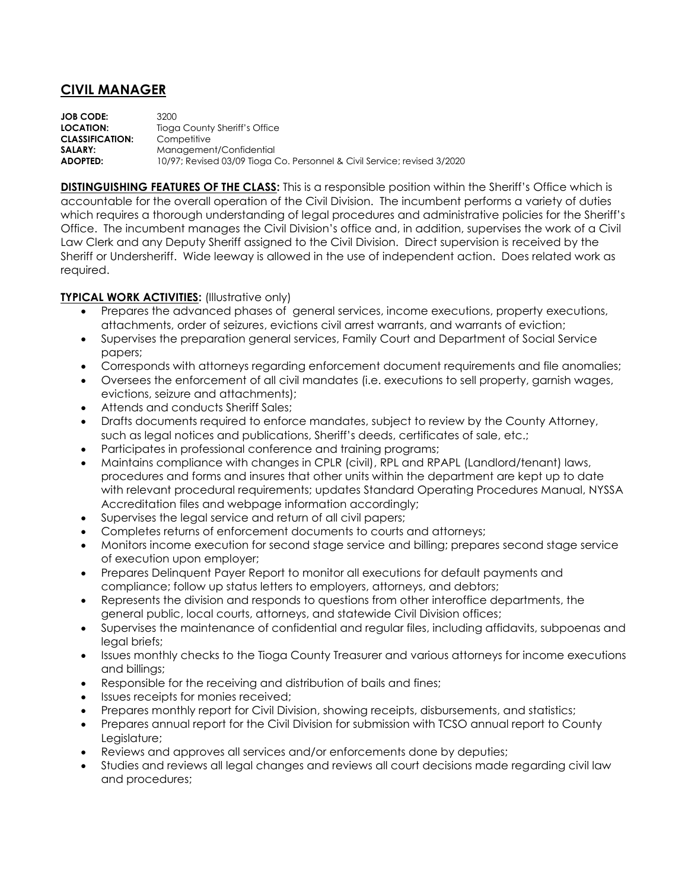## **CIVIL MANAGER**

**JOB CODE:** 3200 **LOCATION:** Tioga County Sheriff's Office **CLASSIFICATION:** Competitive **SALARY:** Management/Confidential **ADOPTED:** 10/97; Revised 03/09 Tioga Co. Personnel & Civil Service; revised 3/2020

**DISTINGUISHING FEATURES OF THE CLASS:** This is a responsible position within the Sheriff's Office which is accountable for the overall operation of the Civil Division. The incumbent performs a variety of duties which requires a thorough understanding of legal procedures and administrative policies for the Sheriff's Office. The incumbent manages the Civil Division's office and, in addition, supervises the work of a Civil Law Clerk and any Deputy Sheriff assigned to the Civil Division. Direct supervision is received by the Sheriff or Undersheriff. Wide leeway is allowed in the use of independent action. Does related work as required.

## **TYPICAL WORK ACTIVITIES:** (Illustrative only)

- Prepares the advanced phases of general services, income executions, property executions, attachments, order of seizures, evictions civil arrest warrants, and warrants of eviction;
- Supervises the preparation general services, Family Court and Department of Social Service papers;
- Corresponds with attorneys regarding enforcement document requirements and file anomalies;
- Oversees the enforcement of all civil mandates (i.e. executions to sell property, garnish wages, evictions, seizure and attachments);
- Attends and conducts Sheriff Sales;
- Drafts documents required to enforce mandates, subject to review by the County Attorney, such as legal notices and publications, Sheriff's deeds, certificates of sale, etc.;
- Participates in professional conference and training programs;
- Maintains compliance with changes in CPLR (civil), RPL and RPAPL (Landlord/tenant) laws, procedures and forms and insures that other units within the department are kept up to date with relevant procedural requirements; updates Standard Operating Procedures Manual, NYSSA Accreditation files and webpage information accordingly;
- Supervises the legal service and return of all civil papers;
- Completes returns of enforcement documents to courts and attorneys;
- Monitors income execution for second stage service and billing; prepares second stage service of execution upon employer;
- Prepares Delinquent Payer Report to monitor all executions for default payments and compliance; follow up status letters to employers, attorneys, and debtors;
- Represents the division and responds to questions from other interoffice departments, the general public, local courts, attorneys, and statewide Civil Division offices;
- Supervises the maintenance of confidential and regular files, including affidavits, subpoenas and legal briefs;
- Issues monthly checks to the Tioga County Treasurer and various attorneys for income executions and billings;
- Responsible for the receiving and distribution of bails and fines;
- Issues receipts for monies received;
- Prepares monthly report for Civil Division, showing receipts, disbursements, and statistics;
- Prepares annual report for the Civil Division for submission with TCSO annual report to County Legislature;
- Reviews and approves all services and/or enforcements done by deputies;
- Studies and reviews all legal changes and reviews all court decisions made regarding civil law and procedures;